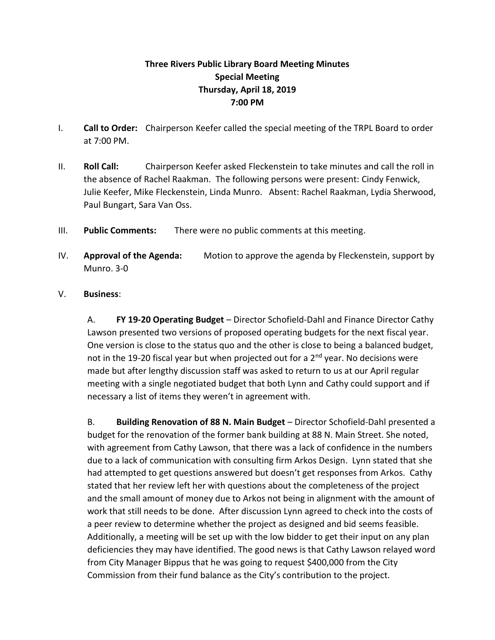## **Three Rivers Public Library Board Meeting Minutes Special Meeting Thursday, April 18, 2019 7:00 PM**

- I. **Call to Order:** Chairperson Keefer called the special meeting of the TRPL Board to order at 7:00 PM.
- II. **Roll Call:** Chairperson Keefer asked Fleckenstein to take minutes and call the roll in the absence of Rachel Raakman. The following persons were present: Cindy Fenwick, Julie Keefer, Mike Fleckenstein, Linda Munro. Absent: Rachel Raakman, Lydia Sherwood, Paul Bungart, Sara Van Oss.
- III. **Public Comments:** There were no public comments at this meeting.
- IV. **Approval of the Agenda:** Motion to approve the agenda by Fleckenstein, support by Munro. 3-0
- V. **Business**:

A. **FY 19-20 Operating Budget** – Director Schofield-Dahl and Finance Director Cathy Lawson presented two versions of proposed operating budgets for the next fiscal year. One version is close to the status quo and the other is close to being a balanced budget, not in the 19-20 fiscal year but when projected out for a  $2^{nd}$  year. No decisions were made but after lengthy discussion staff was asked to return to us at our April regular meeting with a single negotiated budget that both Lynn and Cathy could support and if necessary a list of items they weren't in agreement with.

B. **Building Renovation of 88 N. Main Budget** – Director Schofield-Dahl presented a budget for the renovation of the former bank building at 88 N. Main Street. She noted, with agreement from Cathy Lawson, that there was a lack of confidence in the numbers due to a lack of communication with consulting firm Arkos Design. Lynn stated that she had attempted to get questions answered but doesn't get responses from Arkos. Cathy stated that her review left her with questions about the completeness of the project and the small amount of money due to Arkos not being in alignment with the amount of work that still needs to be done. After discussion Lynn agreed to check into the costs of a peer review to determine whether the project as designed and bid seems feasible. Additionally, a meeting will be set up with the low bidder to get their input on any plan deficiencies they may have identified. The good news is that Cathy Lawson relayed word from City Manager Bippus that he was going to request \$400,000 from the City Commission from their fund balance as the City's contribution to the project.